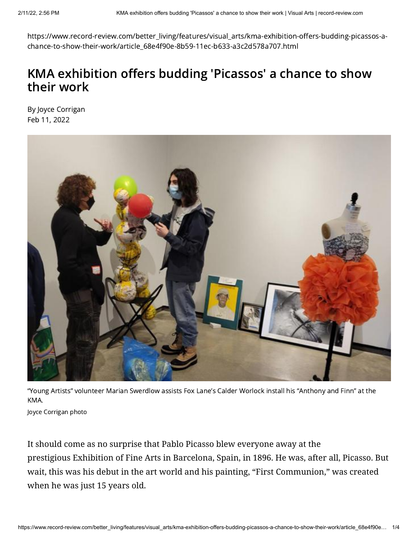https://www.record-review.com/better\_living/features/visual\_arts/kma-exhibition-offers-budding-picassos-achance-to-show-their-work/article\_68e4f90e-8b59-11ec-b633-a3c2d578a707.html

## KMA exhibition offers budding 'Picassos' a chance to show their work

By Joyce [Corrigan](https://www.record-review.com/users/profile/Joyce%20Corrigan) Feb 11, 2022



"Young Artists" volunteer Marian Swerdlow assists Fox Lane's Calder Worlock install his "Anthony and Finn" at the KMA.

Joyce Corrigan photo

It should come as no surprise that Pablo Picasso blew everyone away at the prestigious Exhibition of Fine Arts in Barcelona, Spain, in 1896. He was, after all, Picasso. But wait, this was his debut in the art world and his painting, "First Communion," was created when he was just 15 years old.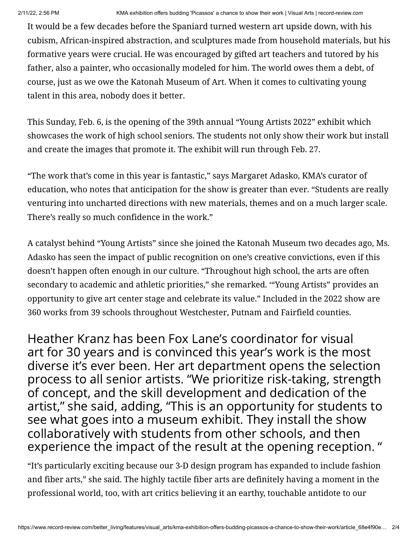It would be a few decades before the Spaniard turned western art upside down, with his cubism, African-inspired abstraction, and sculptures made from household materials, but his formative years were crucial. He was encouraged by gifted art teachers and tutored by his father, also a painter, who occasionally modeled for him. The world owes them a debt, of course, just as we owe the Katonah Museum of Art. When it comes to cultivating young talent in this area, nobody does it better.

This Sunday, Feb. 6, is the opening of the 39th annual "Young Artists 2022" exhibit which showcases the work of high school seniors. The students not only show their work but install and create the images that promote it. The exhibit will run through Feb. 27.

"The work that's come in this year is fantastic," says Margaret Adasko, KMA's curator of education, who notes that anticipation for the show is greater than ever. "Students are really venturing into uncharted directions with new materials, themes and on a much larger scale. There's really so much confidence in the work."

A catalyst behind "Young Artists" since she joined the Katonah Museum two decades ago, Ms. Adasko has seen the impact of public recognition on one's creative convictions, even if this doesn't happen often enough in our culture. "Throughout high school, the arts are often secondary to academic and athletic priorities," she remarked. '"Young Artists" provides an opportunity to give art center stage and celebrate its value." Included in the 2022 show are 360 works from 39 schools throughout Westchester, Putnam and Fairfield counties.

Heather Kranz has been Fox Lane's coordinator for visual art for 30 years and is convinced this year's work is the most diverse it's ever been. Her art department opens the selection process to all senior artists. "We prioritize risk-taking, strength of concept, and the skill development and dedication of the artist," she said, adding, "This is an opportunity for students to see what goes into a museum exhibit. They install the show collaboratively with students from other schools, and then experience the impact of the result at the opening reception. "

"It's particularly exciting because our 3-D design program has expanded to include fashion and fiber arts," she said. The highly tactile fiber arts are definitely having a moment in the professional world, too, with art critics believing it an earthy, touchable antidote to our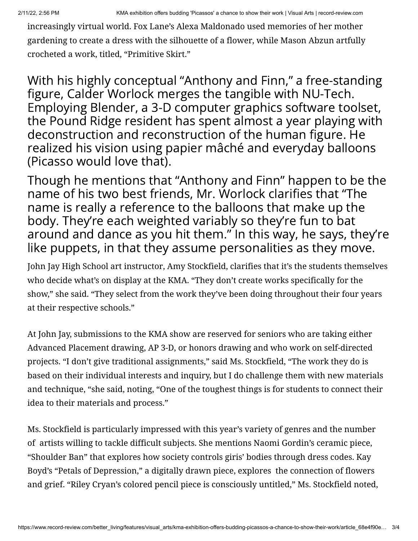increasingly virtual world. Fox Lane's Alexa Maldonado used memories of her mother gardening to create a dress with the silhouette of a flower, while Mason Abzun artfully crocheted a work, titled, "Primitive Skirt."

With his highly conceptual "Anthony and Finn," a free-standing figure, Calder Worlock merges the tangible with NU-Tech. Employing Blender, a 3-D computer graphics software toolset, the Pound Ridge resident has spent almost a year playing with deconstruction and reconstruction of the human figure. He realized his vision using papier mâché and everyday balloons (Picasso would love that).

Though he mentions that "Anthony and Finn" happen to be the name of his two best friends, Mr. Worlock clarifies that "The name is really a reference to the balloons that make up the body. They're each weighted variably so they're fun to bat around and dance as you hit them." In this way, he says, they're like puppets, in that they assume personalities as they move.

John Jay High School art instructor, Amy Stockfield, clarifies that it's the students themselves who decide what's on display at the KMA. "They don't create works specifically for the show," she said. "They select from the work they've been doing throughout their four years at their respective schools."

At John Jay, submissions to the KMA show are reserved for seniors who are taking either Advanced Placement drawing, AP 3-D, or honors drawing and who work on self-directed projects. "I don't give traditional assignments," said Ms. Stockfield, "The work they do is based on their individual interests and inquiry, but I do challenge them with new materials and technique, "she said, noting, "One of the toughest things is for students to connect their idea to their materials and process."

Ms. Stockfield is particularly impressed with this year's variety of genres and the number of artists willing to tackle difficult subjects. She mentions Naomi Gordin's ceramic piece, "Shoulder Ban" that explores how society controls giris' bodies through dress codes. Kay Boyd's "Petals of Depression," a digitally drawn piece, explores the connection of flowers and grief. "Riley Cryan's colored pencil piece is consciously untitled," Ms. Stockfield noted,